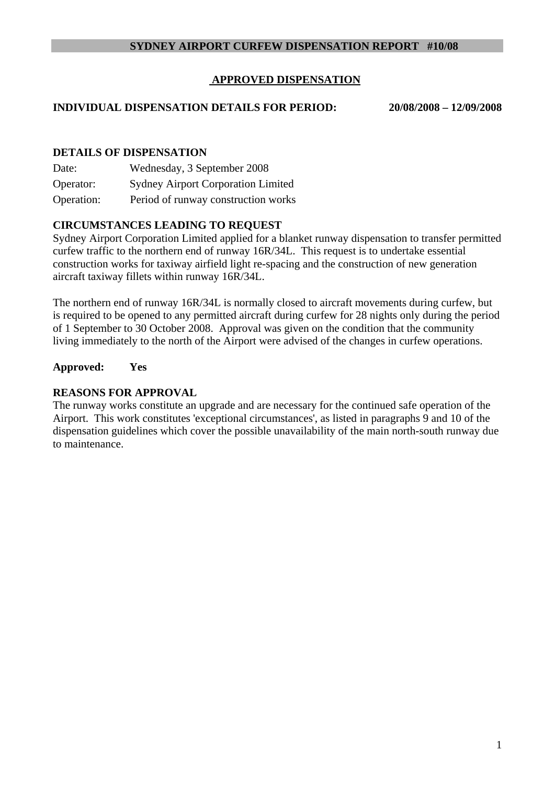### **SYDNEY AIRPORT CURFEW DISPENSATION REPORT #10/08**

## **APPROVED DISPENSATION**

#### **INDIVIDUAL DISPENSATION DETAILS FOR PERIOD: 20/08/2008 – 12/09/2008**

#### **DETAILS OF DISPENSATION**

| Date:      | Wednesday, 3 September 2008               |
|------------|-------------------------------------------|
| Operator:  | <b>Sydney Airport Corporation Limited</b> |
| Operation: | Period of runway construction works       |

#### **CIRCUMSTANCES LEADING TO REQUEST**

Sydney Airport Corporation Limited applied for a blanket runway dispensation to transfer permitted curfew traffic to the northern end of runway 16R/34L. This request is to undertake essential construction works for taxiway airfield light re-spacing and the construction of new generation aircraft taxiway fillets within runway 16R/34L.

The northern end of runway 16R/34L is normally closed to aircraft movements during curfew, but is required to be opened to any permitted aircraft during curfew for 28 nights only during the period of 1 September to 30 October 2008. Approval was given on the condition that the community living immediately to the north of the Airport were advised of the changes in curfew operations.

#### **Approved: Yes**

#### **REASONS FOR APPROVAL**

The runway works constitute an upgrade and are necessary for the continued safe operation of the Airport. This work constitutes 'exceptional circumstances', as listed in paragraphs 9 and 10 of the dispensation guidelines which cover the possible unavailability of the main north-south runway due to maintenance.